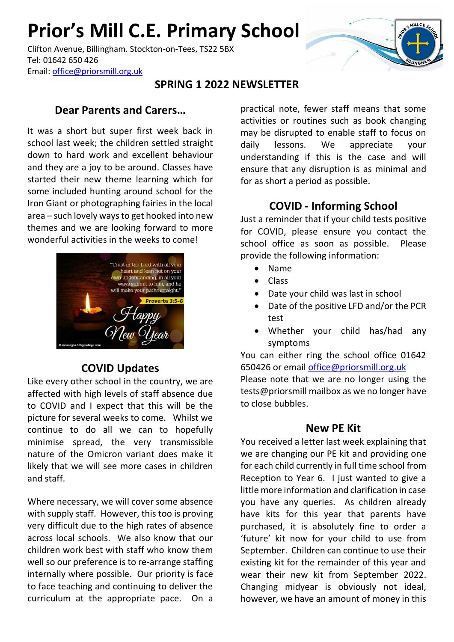# **Prior's Mill C.E. Primary School**

Clifton Avenue, Billingham. Stockton-on-Tees, TS22 5BX Tel: 01642 650 426 Email: [office@priorsmill.org.uk](mailto:office@priorsmill.org.uk)

## **SPRING 1 2022 NEWSLETTER**

### **Dear Parents and Carers…**

It was a short but super first week back in school last week; the children settled straight down to hard work and excellent behaviour and they are a joy to be around. Classes have started their new theme learning which for some included hunting around school for the Iron Giant or photographing fairies in the local area – such lovely ways to get hooked into new themes and we are looking forward to more wonderful activities in the weeks to come!



### **COVID Updates**

Like every other school in the country, we are affected with high levels of staff absence due to COVID and I expect that this will be the picture for several weeks to come. Whilst we continue to do all we can to hopefully minimise spread, the very transmissible nature of the Omicron variant does make it likely that we will see more cases in children and staff.

Where necessary, we will cover some absence with supply staff. However, this too is proving very difficult due to the high rates of absence across local schools. We also know that our children work best with staff who know them well so our preference is to re-arrange staffing internally where possible. Our priority is face to face teaching and continuing to deliver the curriculum at the appropriate pace. On a

practical note, fewer staff means that some activities or routines such as book changing may be disrupted to enable staff to focus on daily lessons. We appreciate your understanding if this is the case and will ensure that any disruption is as minimal and for as short a period as possible.

### **COVID - Informing School**

Just a reminder that if your child tests positive for COVID, please ensure you contact the school office as soon as possible. Please provide the following information:

- Name
- Class
- Date your child was last in school
- Date of the positive LFD and/or the PCR test
- Whether your child has/had any symptoms

You can either ring the school office 01642 650426 or email [office@priorsmill.org.uk](mailto:office@priorsmill.org.uk)

Please note that we are no longer using the tests@priorsmill mailbox as we no longer have to close bubbles.

#### **New PE Kit**

You received a letter last week explaining that we are changing our PE kit and providing one for each child currently in full time school from Reception to Year 6. I just wanted to give a little more information and clarification in case you have any queries. As children already have kits for this year that parents have purchased, it is absolutely fine to order a 'future' kit now for your child to use from September. Children can continue to use their existing kit for the remainder of this year and wear their new kit from September 2022. Changing midyear is obviously not ideal, however, we have an amount of money in this